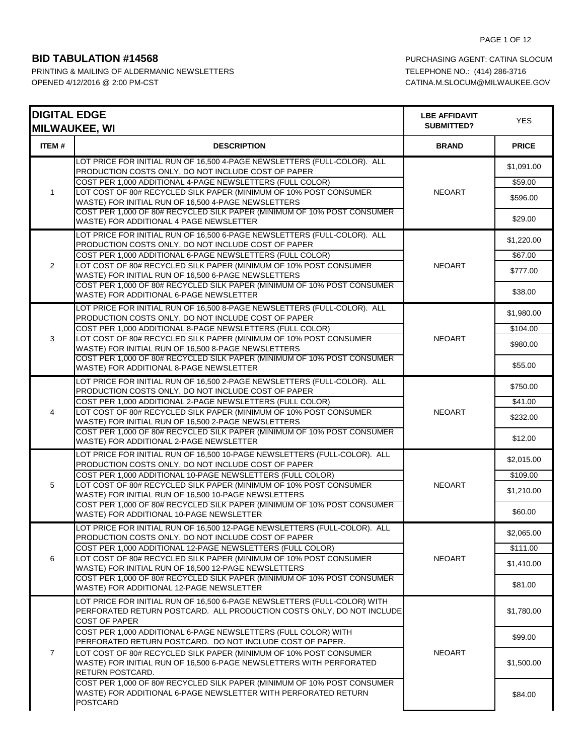| <b>DIGITAL EDGE</b> | <b>MILWAUKEE, WI</b>                                                                                                                                                                                | <b>LBE AFFIDAVIT</b><br>SUBMITTED? | <b>YES</b>            |
|---------------------|-----------------------------------------------------------------------------------------------------------------------------------------------------------------------------------------------------|------------------------------------|-----------------------|
| ITEM#               | <b>DESCRIPTION</b>                                                                                                                                                                                  | <b>BRAND</b>                       | <b>PRICE</b>          |
|                     | LOT PRICE FOR INITIAL RUN OF 16,500 4-PAGE NEWSLETTERS (FULL-COLOR). ALL<br>PRODUCTION COSTS ONLY, DO NOT INCLUDE COST OF PAPER<br>COST PER 1,000 ADDITIONAL 4-PAGE NEWSLETTERS (FULL COLOR)        |                                    | \$1,091.00<br>\$59.00 |
| $\mathbf{1}$        | LOT COST OF 80# RECYCLED SILK PAPER (MINIMUM OF 10% POST CONSUMER<br>WASTE) FOR INITIAL RUN OF 16,500 4-PAGE NEWSLETTERS<br>COST PER 1,000 OF 80# RECYCLED SILK PAPER (MINIMUM OF 10% POST CONSUMER | <b>NEOART</b>                      | \$596.00<br>\$29.00   |
|                     | WASTE) FOR ADDITIONAL 4 PAGE NEWSLETTER<br>LOT PRICE FOR INITIAL RUN OF 16,500 6-PAGE NEWSLETTERS (FULL-COLOR). ALL                                                                                 |                                    |                       |
|                     | PRODUCTION COSTS ONLY, DO NOT INCLUDE COST OF PAPER<br>COST PER 1,000 ADDITIONAL 6-PAGE NEWSLETTERS (FULL COLOR)                                                                                    |                                    | \$1,220.00<br>\$67.00 |
| $\overline{2}$      | LOT COST OF 80# RECYCLED SILK PAPER (MINIMUM OF 10% POST CONSUMER<br>WASTE) FOR INITIAL RUN OF 16,500 6-PAGE NEWSLETTERS                                                                            | <b>NEOART</b>                      | \$777.00              |
|                     | COST PER 1,000 OF 80# RECYCLED SILK PAPER (MINIMUM OF 10% POST CONSUMER<br>WASTE) FOR ADDITIONAL 6-PAGE NEWSLETTER                                                                                  |                                    | \$38.00               |
|                     | LOT PRICE FOR INITIAL RUN OF 16,500 8-PAGE NEWSLETTERS (FULL-COLOR). ALL<br>PRODUCTION COSTS ONLY, DO NOT INCLUDE COST OF PAPER                                                                     |                                    | \$1,980.00            |
| 3                   | COST PER 1,000 ADDITIONAL 8-PAGE NEWSLETTERS (FULL COLOR)<br>LOT COST OF 80# RECYCLED SILK PAPER (MINIMUM OF 10% POST CONSUMER                                                                      | <b>NEOART</b>                      | \$104.00              |
|                     | WASTE) FOR INITIAL RUN OF 16,500 8-PAGE NEWSLETTERS<br>COST PER 1,000 OF 80# RECYCLED SILK PAPER (MINIMUM OF 10% POST CONSUMER                                                                      |                                    | \$980.00              |
|                     | WASTE) FOR ADDITIONAL 8-PAGE NEWSLETTER                                                                                                                                                             |                                    | \$55.00               |
|                     | LOT PRICE FOR INITIAL RUN OF 16,500 2-PAGE NEWSLETTERS (FULL-COLOR). ALL<br>PRODUCTION COSTS ONLY, DO NOT INCLUDE COST OF PAPER                                                                     | <b>NEOART</b>                      | \$750.00              |
| 4                   | COST PER 1,000 ADDITIONAL 2-PAGE NEWSLETTERS (FULL COLOR)<br>LOT COST OF 80# RECYCLED SILK PAPER (MINIMUM OF 10% POST CONSUMER                                                                      |                                    | \$41.00               |
|                     | WASTE) FOR INITIAL RUN OF 16,500 2-PAGE NEWSLETTERS                                                                                                                                                 |                                    | \$232.00              |
|                     | COST PER 1,000 OF 80# RECYCLED SILK PAPER (MINIMUM OF 10% POST CONSUMER<br>WASTE) FOR ADDITIONAL 2-PAGE NEWSLETTER                                                                                  |                                    | \$12.00               |
|                     | LOT PRICE FOR INITIAL RUN OF 16,500 10-PAGE NEWSLETTERS (FULL-COLOR). ALL<br>PRODUCTION COSTS ONLY, DO NOT INCLUDE COST OF PAPER                                                                    |                                    | \$2,015.00            |
|                     | COST PER 1,000 ADDITIONAL 10-PAGE NEWSLETTERS (FULL COLOR)                                                                                                                                          |                                    | \$109.00              |
| 5                   | LOT COST OF 80# RECYCLED SILK PAPER (MINIMUM OF 10% POST CONSUMER<br>WASTE) FOR INITIAL RUN OF 16,500 10-PAGE NEWSLETTERS                                                                           | <b>NEOART</b>                      | \$1,210.00            |
|                     | COST PER 1,000 OF 80# RECYCLED SILK PAPER (MINIMUM OF 10% POST CONSUMER<br>WASTE) FOR ADDITIONAL 10-PAGE NEWSLETTER                                                                                 |                                    | \$60.00               |
|                     | LOT PRICE FOR INITIAL RUN OF 16,500 12-PAGE NEWSLETTERS (FULL-COLOR). ALL<br>PRODUCTION COSTS ONLY, DO NOT INCLUDE COST OF PAPER                                                                    |                                    | \$2,065.00            |
|                     | COST PER 1,000 ADDITIONAL 12-PAGE NEWSLETTERS (FULL COLOR)                                                                                                                                          |                                    | \$111.00              |
| 6                   | LOT COST OF 80# RECYCLED SILK PAPER (MINIMUM OF 10% POST CONSUMER<br>WASTE) FOR INITIAL RUN OF 16,500 12-PAGE NEWSLETTERS                                                                           | <b>NEOART</b>                      | \$1,410.00            |
|                     | COST PER 1,000 OF 80# RECYCLED SILK PAPER (MINIMUM OF 10% POST CONSUMER<br>WASTE) FOR ADDITIONAL 12-PAGE NEWSLETTER                                                                                 |                                    | \$81.00               |
| $\overline{7}$      | LOT PRICE FOR INITIAL RUN OF 16,500 6-PAGE NEWSLETTERS (FULL-COLOR) WITH<br>PERFORATED RETURN POSTCARD. ALL PRODUCTION COSTS ONLY, DO NOT INCLUDE<br><b>COST OF PAPER</b>                           | <b>NEOART</b>                      | \$1,780.00            |
|                     | COST PER 1,000 ADDITIONAL 6-PAGE NEWSLETTERS (FULL COLOR) WITH<br>PERFORATED RETURN POSTCARD. DO NOT INCLUDE COST OF PAPER.                                                                         |                                    | \$99.00               |
|                     | LOT COST OF 80# RECYCLED SILK PAPER (MINIMUM OF 10% POST CONSUMER<br>WASTE) FOR INITIAL RUN OF 16,500 6-PAGE NEWSLETTERS WITH PERFORATED<br><b>RETURN POSTCARD.</b>                                 |                                    | \$1,500.00            |
|                     | COST PER 1,000 OF 80# RECYCLED SILK PAPER (MINIMUM OF 10% POST CONSUMER<br>WASTE) FOR ADDITIONAL 6-PAGE NEWSLETTER WITH PERFORATED RETURN<br><b>POSTCARD</b>                                        |                                    | \$84.00               |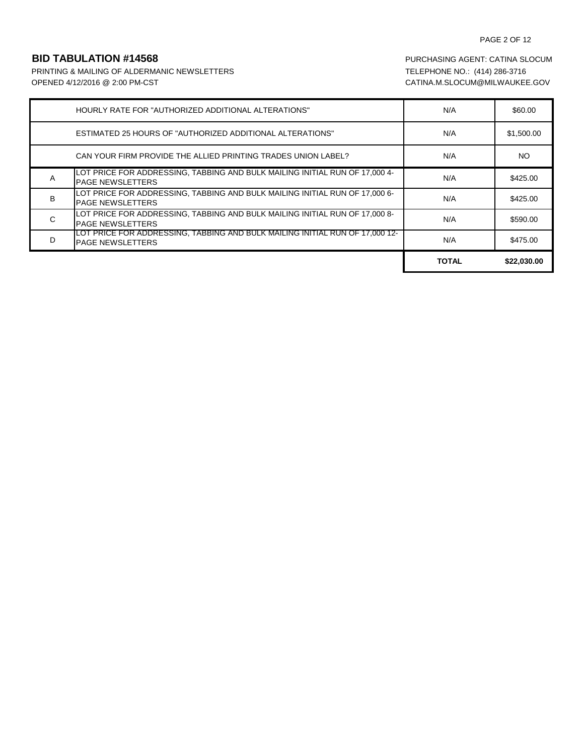## PAGE 2 OF 12

PRINTING & MAILING OF ALDERMANIC NEWSLETTERS TELEPHONE NO.: (414) 286-3716 OPENED 4/12/2016 @ 2:00 PM-CST CATINA.M.SLOCUM@MILWAUKEE.GOV

|   | HOURLY RATE FOR "AUTHORIZED ADDITIONAL ALTERATIONS"                                                            | N/A          | \$60.00     |
|---|----------------------------------------------------------------------------------------------------------------|--------------|-------------|
|   | <b>ESTIMATED 25 HOURS OF "AUTHORIZED ADDITIONAL ALTERATIONS"</b>                                               | N/A          | \$1,500.00  |
|   | CAN YOUR FIRM PROVIDE THE ALLIED PRINTING TRADES UNION LABEL?                                                  | N/A          | NO.         |
| Α | LOT PRICE FOR ADDRESSING, TABBING AND BULK MAILING INITIAL RUN OF 17,000 4-<br><b>PAGE NEWSLETTERS</b>         | N/A          | \$425.00    |
| B | LOT PRICE FOR ADDRESSING, TABBING AND BULK MAILING INITIAL RUN OF 17,000 6-<br><b>PAGE NEWSLETTERS</b>         | N/A          | \$425.00    |
| C | LOT PRICE FOR ADDRESSING, TABBING AND BULK MAILING INITIAL RUN OF 17,000 8-<br><b>PAGE NEWSLETTERS</b>         | N/A          | \$590.00    |
| D | <u>LOT PRICE FOR ADDRESSING, TABBING AND BULK MAILING INITIAL RUN OF 17,000 12-</u><br><b>PAGE NEWSLETTERS</b> | N/A          | \$475.00    |
|   |                                                                                                                | <b>TOTAL</b> | \$22,030.00 |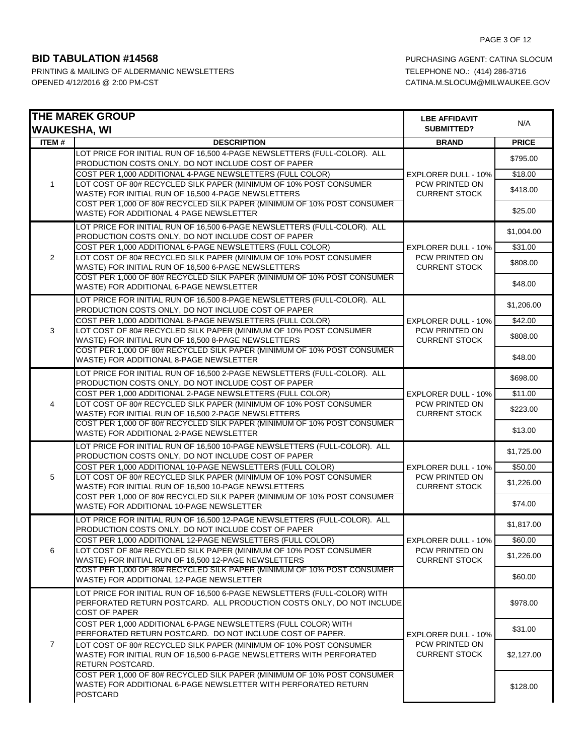|                | <b>THE MAREK GROUP</b><br><b>WAUKESHA, WI</b>                                                                                                                             | <b>LBE AFFIDAVIT</b><br><b>SUBMITTED?</b>                            | N/A          |
|----------------|---------------------------------------------------------------------------------------------------------------------------------------------------------------------------|----------------------------------------------------------------------|--------------|
| <b>ITEM#</b>   | <b>DESCRIPTION</b>                                                                                                                                                        | <b>BRAND</b>                                                         | <b>PRICE</b> |
| $\mathbf{1}$   | LOT PRICE FOR INITIAL RUN OF 16,500 4-PAGE NEWSLETTERS (FULL-COLOR). ALL<br>PRODUCTION COSTS ONLY, DO NOT INCLUDE COST OF PAPER                                           |                                                                      | \$795.00     |
|                | COST PER 1,000 ADDITIONAL 4-PAGE NEWSLETTERS (FULL COLOR)                                                                                                                 | <b>EXPLORER DULL - 10%</b>                                           | \$18.00      |
|                | LOT COST OF 80# RECYCLED SILK PAPER (MINIMUM OF 10% POST CONSUMER<br>WASTE) FOR INITIAL RUN OF 16,500 4-PAGE NEWSLETTERS                                                  | PCW PRINTED ON<br><b>CURRENT STOCK</b>                               | \$418.00     |
|                | COST PER 1,000 OF 80# RECYCLED SILK PAPER (MINIMUM OF 10% POST CONSUMER<br>WASTE) FOR ADDITIONAL 4 PAGE NEWSLETTER                                                        |                                                                      | \$25.00      |
|                | LOT PRICE FOR INITIAL RUN OF 16,500 6-PAGE NEWSLETTERS (FULL-COLOR). ALL<br>PRODUCTION COSTS ONLY, DO NOT INCLUDE COST OF PAPER                                           |                                                                      | \$1,004.00   |
|                | COST PER 1,000 ADDITIONAL 6-PAGE NEWSLETTERS (FULL COLOR)                                                                                                                 | <b>EXPLORER DULL - 10%</b>                                           | \$31.00      |
| 2              | LOT COST OF 80# RECYCLED SILK PAPER (MINIMUM OF 10% POST CONSUMER<br>WASTE) FOR INITIAL RUN OF 16,500 6-PAGE NEWSLETTERS                                                  | PCW PRINTED ON<br><b>CURRENT STOCK</b>                               | \$808.00     |
|                | COST PER 1,000 OF 80# RECYCLED SILK PAPER (MINIMUM OF 10% POST CONSUMER<br>WASTE) FOR ADDITIONAL 6-PAGE NEWSLETTER                                                        |                                                                      | \$48.00      |
|                | LOT PRICE FOR INITIAL RUN OF 16,500 8-PAGE NEWSLETTERS (FULL-COLOR). ALL<br>PRODUCTION COSTS ONLY, DO NOT INCLUDE COST OF PAPER                                           |                                                                      | \$1,206.00   |
|                | COST PER 1,000 ADDITIONAL 8-PAGE NEWSLETTERS (FULL COLOR)                                                                                                                 | <b>EXPLORER DULL - 10%</b>                                           | \$42.00      |
| 3              | LOT COST OF 80# RECYCLED SILK PAPER (MINIMUM OF 10% POST CONSUMER<br>WASTE) FOR INITIAL RUN OF 16,500 8-PAGE NEWSLETTERS                                                  | PCW PRINTED ON<br><b>CURRENT STOCK</b>                               | \$808.00     |
|                | COST PER 1,000 OF 80# RECYCLED SILK PAPER (MINIMUM OF 10% POST CONSUMER<br>WASTE) FOR ADDITIONAL 8-PAGE NEWSLETTER                                                        |                                                                      | \$48.00      |
|                | LOT PRICE FOR INITIAL RUN OF 16,500 2-PAGE NEWSLETTERS (FULL-COLOR). ALL<br>PRODUCTION COSTS ONLY, DO NOT INCLUDE COST OF PAPER                                           | <b>EXPLORER DULL - 10%</b><br>PCW PRINTED ON<br><b>CURRENT STOCK</b> | \$698.00     |
|                | COST PER 1,000 ADDITIONAL 2-PAGE NEWSLETTERS (FULL COLOR)                                                                                                                 |                                                                      | \$11.00      |
| 4              | LOT COST OF 80# RECYCLED SILK PAPER (MINIMUM OF 10% POST CONSUMER<br>WASTE) FOR INITIAL RUN OF 16,500 2-PAGE NEWSLETTERS                                                  |                                                                      | \$223.00     |
|                | COST PER 1,000 OF 80# RECYCLED SILK PAPER (MINIMUM OF 10% POST CONSUMER<br>WASTE) FOR ADDITIONAL 2-PAGE NEWSLETTER                                                        |                                                                      | \$13.00      |
|                | LOT PRICE FOR INITIAL RUN OF 16,500 10-PAGE NEWSLETTERS (FULL-COLOR). ALL<br>PRODUCTION COSTS ONLY, DO NOT INCLUDE COST OF PAPER                                          |                                                                      | \$1,725.00   |
|                | COST PER 1,000 ADDITIONAL 10-PAGE NEWSLETTERS (FULL COLOR)                                                                                                                | <b>EXPLORER DULL - 10%</b>                                           | \$50.00      |
| 5              | LOT COST OF 80# RECYCLED SILK PAPER (MINIMUM OF 10% POST CONSUMER<br>WASTE) FOR INITIAL RUN OF 16,500 10-PAGE NEWSLETTERS                                                 | PCW PRINTED ON<br><b>CURRENT STOCK</b>                               | \$1,226.00   |
|                | COST PER 1,000 OF 80# RECYCLED SILK PAPER (MINIMUM OF 10% POST CONSUMER<br>WASTE) FOR ADDITIONAL 10-PAGE NEWSLETTER                                                       |                                                                      | \$74.00      |
|                | LOT PRICE FOR INITIAL RUN OF 16,500 12-PAGE NEWSLETTERS (FULL-COLOR). ALL<br>PRODUCTION COSTS ONLY, DO NOT INCLUDE COST OF PAPER                                          |                                                                      | \$1,817.00   |
|                | COST PER 1,000 ADDITIONAL 12-PAGE NEWSLETTERS (FULL COLOR)                                                                                                                | EXPLORER DULL - 10%                                                  | \$60.00      |
| 6              | LOT COST OF 80# RECYCLED SILK PAPER (MINIMUM OF 10% POST CONSUMER<br>WASTE) FOR INITIAL RUN OF 16,500 12-PAGE NEWSLETTERS                                                 | PCW PRINTED ON<br><b>CURRENT STOCK</b>                               | \$1,226.00   |
|                | COST PER 1,000 OF 80# RECYCLED SILK PAPER (MINIMUM OF 10% POST CONSUMER<br>WASTE) FOR ADDITIONAL 12-PAGE NEWSLETTER                                                       |                                                                      | \$60.00      |
|                | LOT PRICE FOR INITIAL RUN OF 16,500 6-PAGE NEWSLETTERS (FULL-COLOR) WITH<br>PERFORATED RETURN POSTCARD. ALL PRODUCTION COSTS ONLY, DO NOT INCLUDE<br><b>COST OF PAPER</b> | <b>EXPLORER DULL - 10%</b><br>PCW PRINTED ON<br><b>CURRENT STOCK</b> | \$978.00     |
| $\overline{7}$ | COST PER 1,000 ADDITIONAL 6-PAGE NEWSLETTERS (FULL COLOR) WITH<br>PERFORATED RETURN POSTCARD. DO NOT INCLUDE COST OF PAPER.                                               |                                                                      | \$31.00      |
|                | LOT COST OF 80# RECYCLED SILK PAPER (MINIMUM OF 10% POST CONSUMER<br>WASTE) FOR INITIAL RUN OF 16,500 6-PAGE NEWSLETTERS WITH PERFORATED<br>RETURN POSTCARD.              |                                                                      | \$2,127.00   |
|                | COST PER 1,000 OF 80# RECYCLED SILK PAPER (MINIMUM OF 10% POST CONSUMER<br>WASTE) FOR ADDITIONAL 6-PAGE NEWSLETTER WITH PERFORATED RETURN<br><b>POSTCARD</b>              |                                                                      | \$128.00     |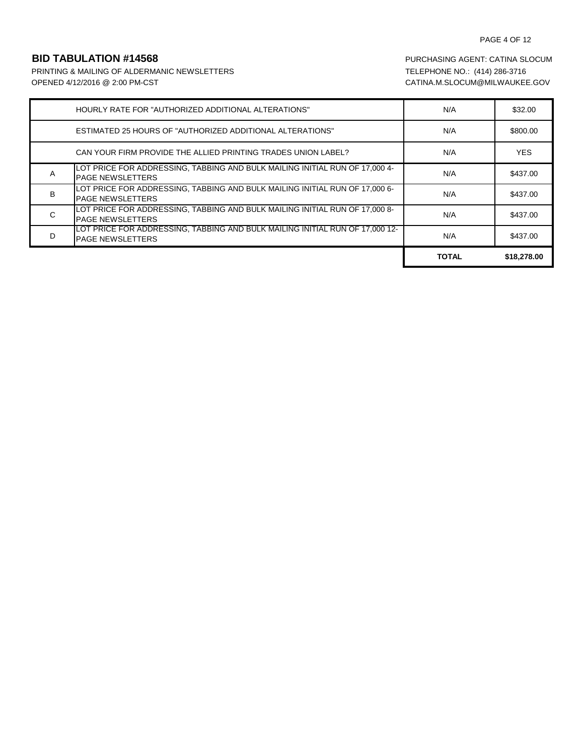## PAGE 4 OF 12

PRINTING & MAILING OF ALDERMANIC NEWSLETTERS TELEPHONE NO.: (414) 286-3716 OPENED 4/12/2016 @ 2:00 PM-CST CATINA.M.SLOCUM@MILWAUKEE.GOV

|   | HOURLY RATE FOR "AUTHORIZED ADDITIONAL ALTERATIONS"                                                     | N/A          | \$32.00     |
|---|---------------------------------------------------------------------------------------------------------|--------------|-------------|
|   | <b>ESTIMATED 25 HOURS OF "AUTHORIZED ADDITIONAL ALTERATIONS"</b>                                        | N/A          | \$800.00    |
|   | CAN YOUR FIRM PROVIDE THE ALLIED PRINTING TRADES UNION LABEL?                                           | N/A          | <b>YES</b>  |
| A | LOT PRICE FOR ADDRESSING, TABBING AND BULK MAILING INITIAL RUN OF 17,000 4-<br><b>PAGE NEWSLETTERS</b>  | N/A          | \$437.00    |
| B | LOT PRICE FOR ADDRESSING, TABBING AND BULK MAILING INITIAL RUN OF 17,000 6-<br><b>PAGE NEWSLETTERS</b>  | N/A          | \$437.00    |
| C | LOT PRICE FOR ADDRESSING, TABBING AND BULK MAILING INITIAL RUN OF 17,000 8-<br><b>PAGE NEWSLETTERS</b>  | N/A          | \$437.00    |
| D | LOT PRICE FOR ADDRESSING, TABBING AND BULK MAILING INITIAL RUN OF 17,000 12-<br><b>PAGE NEWSLETTERS</b> | N/A          | \$437.00    |
|   |                                                                                                         | <b>TOTAL</b> | \$18,278,00 |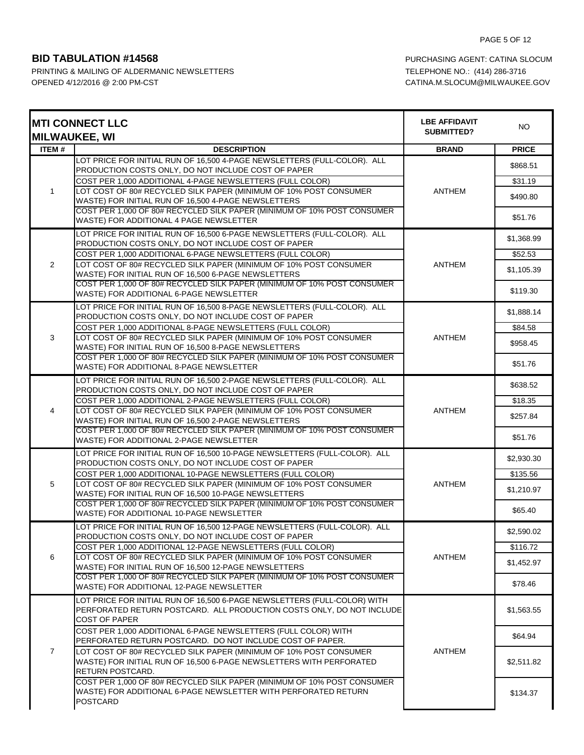|                | <b>MTI CONNECT LLC</b><br><b>MILWAUKEE, WI</b>                                                                                            | <b>LBE AFFIDAVIT</b><br>SUBMITTED? | <b>NO</b>    |
|----------------|-------------------------------------------------------------------------------------------------------------------------------------------|------------------------------------|--------------|
| ITEM#          | <b>DESCRIPTION</b>                                                                                                                        | <b>BRAND</b>                       | <b>PRICE</b> |
|                | LOT PRICE FOR INITIAL RUN OF 16,500 4-PAGE NEWSLETTERS (FULL-COLOR). ALL                                                                  |                                    | \$868.51     |
|                | PRODUCTION COSTS ONLY, DO NOT INCLUDE COST OF PAPER                                                                                       |                                    |              |
|                | COST PER 1,000 ADDITIONAL 4-PAGE NEWSLETTERS (FULL COLOR)<br>LOT COST OF 80# RECYCLED SILK PAPER (MINIMUM OF 10% POST CONSUMER            |                                    | \$31.19      |
| 1              | WASTE) FOR INITIAL RUN OF 16,500 4-PAGE NEWSLETTERS                                                                                       | ANTHEM                             | \$490.80     |
|                | COST PER 1,000 OF 80# RECYCLED SILK PAPER (MINIMUM OF 10% POST CONSUMER                                                                   |                                    |              |
|                | WASTE) FOR ADDITIONAL 4 PAGE NEWSLETTER                                                                                                   |                                    | \$51.76      |
|                | LOT PRICE FOR INITIAL RUN OF 16,500 6-PAGE NEWSLETTERS (FULL-COLOR). ALL                                                                  |                                    | \$1,368.99   |
|                | PRODUCTION COSTS ONLY, DO NOT INCLUDE COST OF PAPER                                                                                       |                                    |              |
|                | COST PER 1,000 ADDITIONAL 6-PAGE NEWSLETTERS (FULL COLOR)                                                                                 |                                    | \$52.53      |
| $\overline{2}$ | LOT COST OF 80# RECYCLED SILK PAPER (MINIMUM OF 10% POST CONSUMER<br>WASTE) FOR INITIAL RUN OF 16,500 6-PAGE NEWSLETTERS                  | <b>ANTHEM</b>                      | \$1,105.39   |
|                | COST PER 1,000 OF 80# RECYCLED SILK PAPER (MINIMUM OF 10% POST CONSUMER                                                                   |                                    |              |
|                | WASTE) FOR ADDITIONAL 6-PAGE NEWSLETTER                                                                                                   |                                    | \$119.30     |
|                | LOT PRICE FOR INITIAL RUN OF 16,500 8-PAGE NEWSLETTERS (FULL-COLOR). ALL                                                                  |                                    | \$1,888.14   |
|                | PRODUCTION COSTS ONLY, DO NOT INCLUDE COST OF PAPER                                                                                       |                                    |              |
|                | COST PER 1,000 ADDITIONAL 8-PAGE NEWSLETTERS (FULL COLOR)                                                                                 |                                    | \$84.58      |
| 3              | LOT COST OF 80# RECYCLED SILK PAPER (MINIMUM OF 10% POST CONSUMER<br>WASTE) FOR INITIAL RUN OF 16,500 8-PAGE NEWSLETTERS                  | ANTHEM                             | \$958.45     |
|                | COST PER 1,000 OF 80# RECYCLED SILK PAPER (MINIMUM OF 10% POST CONSUMER                                                                   |                                    |              |
|                | WASTE) FOR ADDITIONAL 8-PAGE NEWSLETTER                                                                                                   |                                    | \$51.76      |
|                | LOT PRICE FOR INITIAL RUN OF 16,500 2-PAGE NEWSLETTERS (FULL-COLOR). ALL                                                                  | <b>ANTHEM</b>                      | \$638.52     |
|                | PRODUCTION COSTS ONLY, DO NOT INCLUDE COST OF PAPER                                                                                       |                                    |              |
|                | COST PER 1,000 ADDITIONAL 2-PAGE NEWSLETTERS (FULL COLOR)                                                                                 |                                    | \$18.35      |
| 4              | LOT COST OF 80# RECYCLED SILK PAPER (MINIMUM OF 10% POST CONSUMER<br>WASTE) FOR INITIAL RUN OF 16,500 2-PAGE NEWSLETTERS                  |                                    | \$257.84     |
|                | COST PER 1,000 OF 80# RECYCLED SILK PAPER (MINIMUM OF 10% POST CONSUMER                                                                   |                                    |              |
|                | WASTE) FOR ADDITIONAL 2-PAGE NEWSLETTER                                                                                                   |                                    | \$51.76      |
|                | LOT PRICE FOR INITIAL RUN OF 16,500 10-PAGE NEWSLETTERS (FULL-COLOR). ALL                                                                 |                                    | \$2,930.30   |
|                | PRODUCTION COSTS ONLY, DO NOT INCLUDE COST OF PAPER                                                                                       |                                    |              |
| 5              | COST PER 1,000 ADDITIONAL 10-PAGE NEWSLETTERS (FULL COLOR)<br>LOT COST OF 80# RECYCLED SILK PAPER (MINIMUM OF 10% POST CONSUMER           |                                    | \$135.56     |
|                | WASTE) FOR INITIAL RUN OF 16,500 10-PAGE NEWSLETTERS                                                                                      | ANTHEM                             | \$1,210.97   |
|                | COST PER 1,000 OF 80# RECYCLED SILK PAPER (MINIMUM OF 10% POST CONSUMER                                                                   |                                    |              |
|                | WASTE) FOR ADDITIONAL 10-PAGE NEWSLETTER                                                                                                  |                                    | \$65.40      |
|                | LOT PRICE FOR INITIAL RUN OF 16,500 12-PAGE NEWSLETTERS (FULL-COLOR). ALL                                                                 |                                    | \$2,590.02   |
|                | PRODUCTION COSTS ONLY, DO NOT INCLUDE COST OF PAPER                                                                                       |                                    |              |
| 6              | COST PER 1,000 ADDITIONAL 12-PAGE NEWSLETTERS (FULL COLOR)<br>LOT COST OF 80# RECYCLED SILK PAPER (MINIMUM OF 10% POST CONSUMER           | ANTHEM                             | \$116.72     |
|                | WASTE) FOR INITIAL RUN OF 16,500 12-PAGE NEWSLETTERS                                                                                      |                                    | \$1,452.97   |
|                | COST PER 1,000 OF 80# RECYCLED SILK PAPER (MINIMUM OF 10% POST CONSUMER                                                                   |                                    |              |
|                | WASTE) FOR ADDITIONAL 12-PAGE NEWSLETTER                                                                                                  |                                    | \$78.46      |
|                | LOT PRICE FOR INITIAL RUN OF 16,500 6-PAGE NEWSLETTERS (FULL-COLOR) WITH                                                                  |                                    |              |
|                | PERFORATED RETURN POSTCARD. ALL PRODUCTION COSTS ONLY, DO NOT INCLUDE                                                                     |                                    | \$1,563.55   |
|                | <b>COST OF PAPER</b><br>COST PER 1,000 ADDITIONAL 6-PAGE NEWSLETTERS (FULL COLOR) WITH                                                    |                                    |              |
| $\overline{7}$ | PERFORATED RETURN POSTCARD. DO NOT INCLUDE COST OF PAPER.                                                                                 | ANTHEM                             | \$64.94      |
|                | LOT COST OF 80# RECYCLED SILK PAPER (MINIMUM OF 10% POST CONSUMER                                                                         |                                    |              |
|                | WASTE) FOR INITIAL RUN OF 16,500 6-PAGE NEWSLETTERS WITH PERFORATED                                                                       |                                    | \$2,511.82   |
|                | RETURN POSTCARD.                                                                                                                          |                                    |              |
|                | COST PER 1,000 OF 80# RECYCLED SILK PAPER (MINIMUM OF 10% POST CONSUMER<br>WASTE) FOR ADDITIONAL 6-PAGE NEWSLETTER WITH PERFORATED RETURN |                                    |              |
|                | <b>POSTCARD</b>                                                                                                                           |                                    | \$134.37     |
|                |                                                                                                                                           |                                    |              |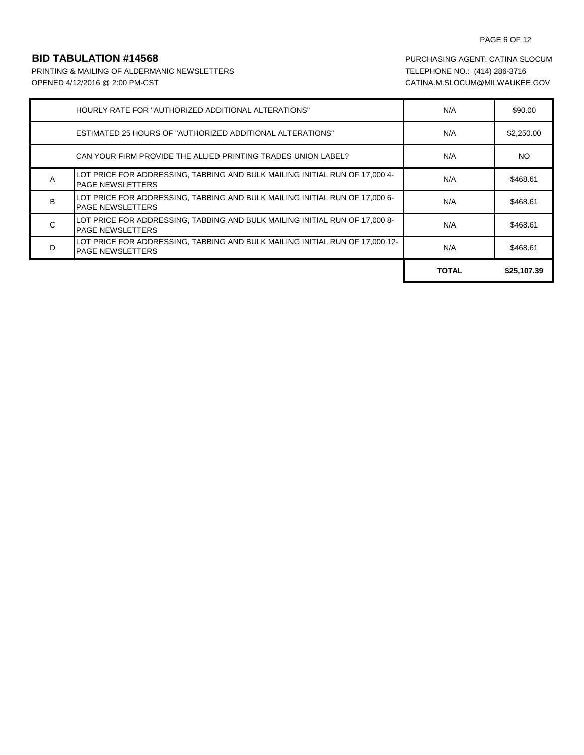# PAGE 6 OF 12

PRINTING & MAILING OF ALDERMANIC NEWSLETTERS TELEPHONE NO.: (414) 286-3716 OPENED 4/12/2016 @ 2:00 PM-CST CATINA.M.SLOCUM@MILWAUKEE.GOV

|                | HOURLY RATE FOR "AUTHORIZED ADDITIONAL ALTERATIONS"                                                     | N/A          | \$90.00     |
|----------------|---------------------------------------------------------------------------------------------------------|--------------|-------------|
|                | <b>ESTIMATED 25 HOURS OF "AUTHORIZED ADDITIONAL ALTERATIONS"</b>                                        | N/A          | \$2,250.00  |
|                | CAN YOUR FIRM PROVIDE THE ALLIED PRINTING TRADES UNION LABEL?                                           | N/A          | NO.         |
| A              | LOT PRICE FOR ADDRESSING, TABBING AND BULK MAILING INITIAL RUN OF 17,000 4-<br><b>PAGE NEWSLETTERS</b>  | N/A          | \$468.61    |
| B <sub>1</sub> | LOT PRICE FOR ADDRESSING, TABBING AND BULK MAILING INITIAL RUN OF 17,000 6-<br><b>PAGE NEWSLETTERS</b>  | N/A          | \$468.61    |
| C              | LOT PRICE FOR ADDRESSING, TABBING AND BULK MAILING INITIAL RUN OF 17,000 8-<br><b>PAGE NEWSLETTERS</b>  | N/A          | \$468.61    |
| D              | LOT PRICE FOR ADDRESSING, TABBING AND BULK MAILING INITIAL RUN OF 17,000 12-<br><b>PAGE NEWSLETTERS</b> | N/A          | \$468.61    |
|                |                                                                                                         | <b>TOTAL</b> | \$25,107.39 |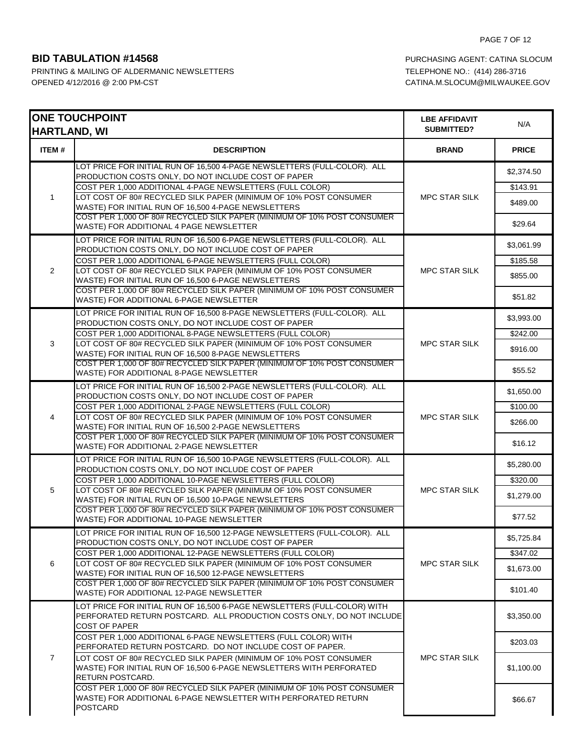| <b>HARTLAND, WI</b> | <b>ONE TOUCHPOINT</b>                                                                                                                                                                                | <b>LBE AFFIDAVIT</b><br><b>SUBMITTED?</b> | N/A                    |
|---------------------|------------------------------------------------------------------------------------------------------------------------------------------------------------------------------------------------------|-------------------------------------------|------------------------|
| <b>ITEM#</b>        | <b>DESCRIPTION</b>                                                                                                                                                                                   | <b>BRAND</b>                              | <b>PRICE</b>           |
|                     | LOT PRICE FOR INITIAL RUN OF 16,500 4-PAGE NEWSLETTERS (FULL-COLOR). ALL<br>PRODUCTION COSTS ONLY, DO NOT INCLUDE COST OF PAPER<br>COST PER 1,000 ADDITIONAL 4-PAGE NEWSLETTERS (FULL COLOR)         |                                           | \$2,374.50<br>\$143.91 |
| $\mathbf{1}$        | LOT COST OF 80# RECYCLED SILK PAPER (MINIMUM OF 10% POST CONSUMER<br>WASTE) FOR INITIAL RUN OF 16,500 4-PAGE NEWSLETTERS<br>COST PER 1,000 OF 80# RECYCLED SILK PAPER (MINIMUM OF 10% POST CONSUMER  | <b>MPC STAR SILK</b>                      | \$489.00               |
|                     | WASTE) FOR ADDITIONAL 4 PAGE NEWSLETTER                                                                                                                                                              |                                           | \$29.64                |
|                     | LOT PRICE FOR INITIAL RUN OF 16,500 6-PAGE NEWSLETTERS (FULL-COLOR). ALL<br>PRODUCTION COSTS ONLY, DO NOT INCLUDE COST OF PAPER                                                                      |                                           | \$3,061.99             |
| 2                   | COST PER 1,000 ADDITIONAL 6-PAGE NEWSLETTERS (FULL COLOR)<br>LOT COST OF 80# RECYCLED SILK PAPER (MINIMUM OF 10% POST CONSUMER<br>WASTE) FOR INITIAL RUN OF 16,500 6-PAGE NEWSLETTERS                | MPC STAR SILK                             | \$185.58<br>\$855.00   |
|                     | COST PER 1,000 OF 80# RECYCLED SILK PAPER (MINIMUM OF 10% POST CONSUMER<br>WASTE) FOR ADDITIONAL 6-PAGE NEWSLETTER                                                                                   |                                           | \$51.82                |
|                     | LOT PRICE FOR INITIAL RUN OF 16,500 8-PAGE NEWSLETTERS (FULL-COLOR). ALL<br>PRODUCTION COSTS ONLY, DO NOT INCLUDE COST OF PAPER                                                                      |                                           | \$3,993.00             |
| 3                   | COST PER 1,000 ADDITIONAL 8-PAGE NEWSLETTERS (FULL COLOR)<br>LOT COST OF 80# RECYCLED SILK PAPER (MINIMUM OF 10% POST CONSUMER                                                                       | <b>MPC STAR SILK</b>                      | \$242.00<br>\$916.00   |
|                     | WASTE) FOR INITIAL RUN OF 16,500 8-PAGE NEWSLETTERS<br>COST PER 1,000 OF 80# RECYCLED SILK PAPER (MINIMUM OF 10% POST CONSUMER<br>WASTE) FOR ADDITIONAL 8-PAGE NEWSLETTER                            |                                           | \$55.52                |
|                     | LOT PRICE FOR INITIAL RUN OF 16,500 2-PAGE NEWSLETTERS (FULL-COLOR). ALL<br>PRODUCTION COSTS ONLY, DO NOT INCLUDE COST OF PAPER                                                                      | <b>MPC STAR SILK</b>                      | \$1,650.00             |
|                     | COST PER 1,000 ADDITIONAL 2-PAGE NEWSLETTERS (FULL COLOR)                                                                                                                                            |                                           | \$100.00               |
| 4                   | LOT COST OF 80# RECYCLED SILK PAPER (MINIMUM OF 10% POST CONSUMER<br>WASTE) FOR INITIAL RUN OF 16,500 2-PAGE NEWSLETTERS                                                                             |                                           | \$266.00               |
|                     | COST PER 1,000 OF 80# RECYCLED SILK PAPER (MINIMUM OF 10% POST CONSUMER<br>WASTE) FOR ADDITIONAL 2-PAGE NEWSLETTER                                                                                   |                                           | \$16.12                |
|                     | LOT PRICE FOR INITIAL RUN OF 16,500 10-PAGE NEWSLETTERS (FULL-COLOR). ALL<br>PRODUCTION COSTS ONLY, DO NOT INCLUDE COST OF PAPER                                                                     |                                           | \$5,280.00             |
|                     | COST PER 1,000 ADDITIONAL 10-PAGE NEWSLETTERS (FULL COLOR)                                                                                                                                           |                                           | $\frac{1}{2}320.00$    |
| 5                   | LOT COST OF 80# RECYCLED SILK PAPER (MINIMUM OF 10% POST CONSUMER<br>WASTE) FOR INITIAL RUN OF 16,500 10-PAGE NEWSLETTERS<br>COST PER 1,000 OF 80# RECYCLED SILK PAPER (MINIMUM OF 10% POST CONSUMER | MPC STAR SILK                             | \$1,279.00             |
|                     | WASTE) FOR ADDITIONAL 10-PAGE NEWSLETTER                                                                                                                                                             |                                           | \$77.52                |
|                     | LOT PRICE FOR INITIAL RUN OF 16,500 12-PAGE NEWSLETTERS (FULL-COLOR). ALL<br>PRODUCTION COSTS ONLY, DO NOT INCLUDE COST OF PAPER                                                                     |                                           | \$5,725.84             |
|                     | COST PER 1,000 ADDITIONAL 12-PAGE NEWSLETTERS (FULL COLOR)                                                                                                                                           |                                           | \$347.02               |
| 6                   | LOT COST OF 80# RECYCLED SILK PAPER (MINIMUM OF 10% POST CONSUMER<br>WASTE) FOR INITIAL RUN OF 16,500 12-PAGE NEWSLETTERS<br>COST PER 1,000 OF 80# RECYCLED SILK PAPER (MINIMUM OF 10% POST CONSUMER | <b>MPC STAR SILK</b>                      | \$1,673.00             |
|                     | WASTE) FOR ADDITIONAL 12-PAGE NEWSLETTER                                                                                                                                                             |                                           | \$101.40               |
|                     | LOT PRICE FOR INITIAL RUN OF 16,500 6-PAGE NEWSLETTERS (FULL-COLOR) WITH<br>PERFORATED RETURN POSTCARD. ALL PRODUCTION COSTS ONLY, DO NOT INCLUDE<br><b>COST OF PAPER</b>                            |                                           | \$3,350.00             |
| $\overline{7}$      | COST PER 1,000 ADDITIONAL 6-PAGE NEWSLETTERS (FULL COLOR) WITH<br>PERFORATED RETURN POSTCARD. DO NOT INCLUDE COST OF PAPER.                                                                          |                                           | \$203.03               |
|                     | LOT COST OF 80# RECYCLED SILK PAPER (MINIMUM OF 10% POST CONSUMER<br>WASTE) FOR INITIAL RUN OF 16,500 6-PAGE NEWSLETTERS WITH PERFORATED<br>RETURN POSTCARD.                                         | <b>MPC STAR SILK</b>                      | \$1,100.00             |
|                     | COST PER 1,000 OF 80# RECYCLED SILK PAPER (MINIMUM OF 10% POST CONSUMER<br>WASTE) FOR ADDITIONAL 6-PAGE NEWSLETTER WITH PERFORATED RETURN<br><b>POSTCARD</b>                                         |                                           | \$66.67                |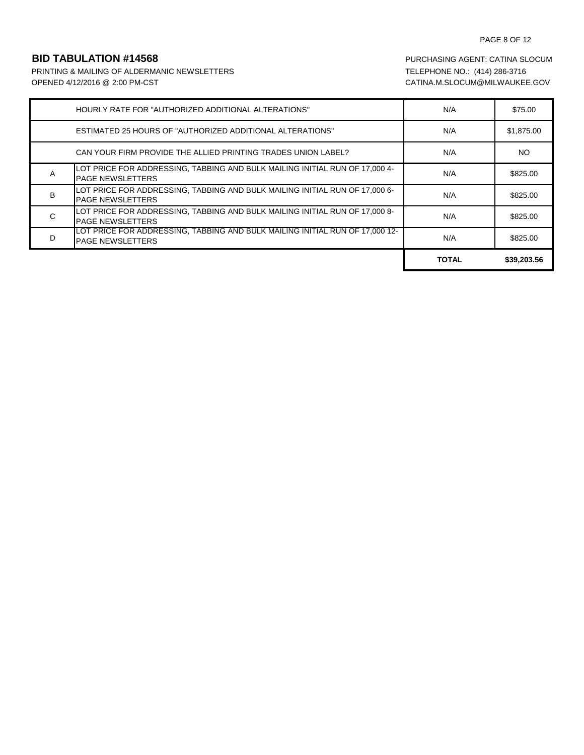## PAGE 8 OF 12

PRINTING & MAILING OF ALDERMANIC NEWSLETTERS TELEPHONE NO.: (414) 286-3716 OPENED 4/12/2016 @ 2:00 PM-CST CATINA.M.SLOCUM@MILWAUKEE.GOV

|   | HOURLY RATE FOR "AUTHORIZED ADDITIONAL ALTERATIONS"                                                     | N/A          | \$75.00     |
|---|---------------------------------------------------------------------------------------------------------|--------------|-------------|
|   | <b>ESTIMATED 25 HOURS OF "AUTHORIZED ADDITIONAL ALTERATIONS"</b>                                        | N/A          | \$1,875.00  |
|   | CAN YOUR FIRM PROVIDE THE ALLIED PRINTING TRADES UNION LABEL?                                           | N/A          | <b>NO</b>   |
| A | LOT PRICE FOR ADDRESSING, TABBING AND BULK MAILING INITIAL RUN OF 17,000 4-<br><b>PAGE NEWSLETTERS</b>  | N/A          | \$825.00    |
| B | LOT PRICE FOR ADDRESSING, TABBING AND BULK MAILING INITIAL RUN OF 17,000 6-<br><b>PAGE NEWSLETTERS</b>  | N/A          | \$825.00    |
| C | LOT PRICE FOR ADDRESSING, TABBING AND BULK MAILING INITIAL RUN OF 17,000 8-<br><b>PAGE NEWSLETTERS</b>  | N/A          | \$825.00    |
| D | LOT PRICE FOR ADDRESSING, TABBING AND BULK MAILING INITIAL RUN OF 17,000 12-<br><b>PAGE NEWSLETTERS</b> | N/A          | \$825.00    |
|   |                                                                                                         | <b>TOTAL</b> | \$39,203.56 |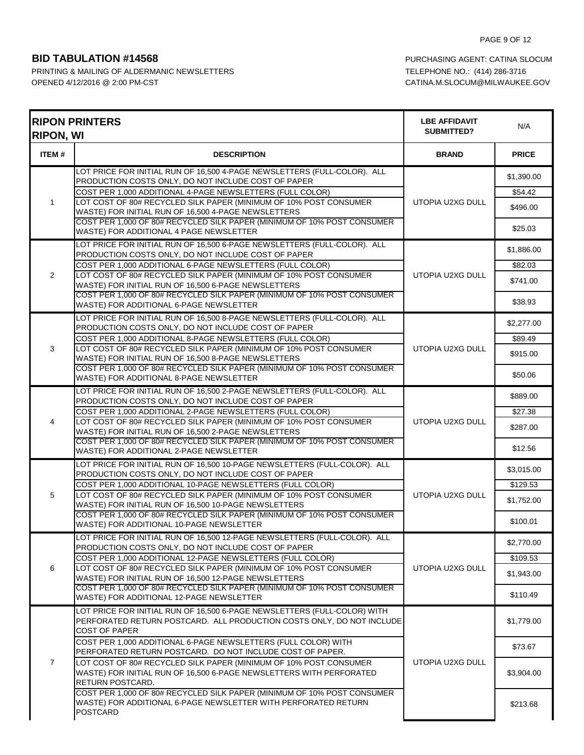| <b>RIPON, WI</b> | <b>RIPON PRINTERS</b>                                                                                                                                                                 | <b>LBE AFFIDAVIT</b><br>SUBMITTED? | N/A                 |
|------------------|---------------------------------------------------------------------------------------------------------------------------------------------------------------------------------------|------------------------------------|---------------------|
| ITEM#            | <b>DESCRIPTION</b>                                                                                                                                                                    | <b>BRAND</b>                       | <b>PRICE</b>        |
|                  | LOT PRICE FOR INITIAL RUN OF 16,500 4-PAGE NEWSLETTERS (FULL-COLOR). ALL<br>PRODUCTION COSTS ONLY, DO NOT INCLUDE COST OF PAPER                                                       | UTOPIA U2XG DULL                   | \$1,390.00          |
| $\mathbf{1}$     | COST PER 1,000 ADDITIONAL 4-PAGE NEWSLETTERS (FULL COLOR)<br>LOT COST OF 80# RECYCLED SILK PAPER (MINIMUM OF 10% POST CONSUMER<br>WASTE) FOR INITIAL RUN OF 16,500 4-PAGE NEWSLETTERS |                                    | \$54.42<br>\$496.00 |
|                  | COST PER 1,000 OF 80# RECYCLED SILK PAPER (MINIMUM OF 10% POST CONSUMER<br>WASTE) FOR ADDITIONAL 4 PAGE NEWSLETTER                                                                    |                                    | \$25.03             |
|                  | LOT PRICE FOR INITIAL RUN OF 16,500 6-PAGE NEWSLETTERS (FULL-COLOR). ALL<br>PRODUCTION COSTS ONLY, DO NOT INCLUDE COST OF PAPER                                                       |                                    | \$1,886.00          |
| 2                | COST PER 1,000 ADDITIONAL 6-PAGE NEWSLETTERS (FULL COLOR)<br>LOT COST OF 80# RECYCLED SILK PAPER (MINIMUM OF 10% POST CONSUMER                                                        | UTOPIA U2XG DULL                   | \$82.03             |
|                  | WASTE) FOR INITIAL RUN OF 16,500 6-PAGE NEWSLETTERS                                                                                                                                   |                                    | \$741.00            |
|                  | COST PER 1,000 OF 80# RECYCLED SILK PAPER (MINIMUM OF 10% POST CONSUMER<br>WASTE) FOR ADDITIONAL 6-PAGE NEWSLETTER                                                                    |                                    | \$38.93             |
|                  | LOT PRICE FOR INITIAL RUN OF 16,500 8-PAGE NEWSLETTERS (FULL-COLOR). ALL<br>PRODUCTION COSTS ONLY, DO NOT INCLUDE COST OF PAPER                                                       |                                    | \$2,277.00          |
| 3                | COST PER 1,000 ADDITIONAL 8-PAGE NEWSLETTERS (FULL COLOR)<br>LOT COST OF 80# RECYCLED SILK PAPER (MINIMUM OF 10% POST CONSUMER                                                        | UTOPIA U2XG DULL                   | \$89.49             |
|                  | WASTE) FOR INITIAL RUN OF 16,500 8-PAGE NEWSLETTERS                                                                                                                                   |                                    | \$915.00            |
|                  | COST PER 1,000 OF 80# RECYCLED SILK PAPER (MINIMUM OF 10% POST CONSUMER<br>WASTE) FOR ADDITIONAL 8-PAGE NEWSLETTER                                                                    |                                    | \$50.06             |
|                  | LOT PRICE FOR INITIAL RUN OF 16,500 2-PAGE NEWSLETTERS (FULL-COLOR). ALL<br>PRODUCTION COSTS ONLY, DO NOT INCLUDE COST OF PAPER                                                       | UTOPIA U2XG DULL                   | \$889.00            |
|                  | COST PER 1,000 ADDITIONAL 2-PAGE NEWSLETTERS (FULL COLOR)                                                                                                                             |                                    | \$27.38             |
| 4                | LOT COST OF 80# RECYCLED SILK PAPER (MINIMUM OF 10% POST CONSUMER<br>WASTE) FOR INITIAL RUN OF 16,500 2-PAGE NEWSLETTERS                                                              |                                    | \$287.00            |
|                  | COST PER 1,000 OF 80# RECYCLED SILK PAPER (MINIMUM OF 10% POST CONSUMER<br>WASTE) FOR ADDITIONAL 2-PAGE NEWSLETTER                                                                    |                                    | \$12.56             |
|                  | LOT PRICE FOR INITIAL RUN OF 16,500 10-PAGE NEWSLETTERS (FULL-COLOR). ALL<br>PRODUCTION COSTS ONLY, DO NOT INCLUDE COST OF PAPER                                                      |                                    | \$3,015.00          |
|                  | COST PER 1,000 ADDITIONAL 10-PAGE NEWSLETTERS (FULL COLOR)                                                                                                                            |                                    | \$129.53            |
| 5                | LOT COST OF 80# RECYCLED SILK PAPER (MINIMUM OF 10% POST CONSUMER<br>WASTE) FOR INITIAL RUN OF 16,500 10-PAGE NEWSLETTERS                                                             | UTOPIA U2XG DULL                   | \$1,752.00          |
|                  | COST PER 1,000 OF 80# RECYCLED SILK PAPER (MINIMUM OF 10% POST CONSUMER<br>WASTE) FOR ADDITIONAL 10-PAGE NEWSLETTER                                                                   |                                    | \$100.01            |
|                  | LOT PRICE FOR INITIAL RUN OF 16,500 12-PAGE NEWSLETTERS (FULL-COLOR). ALL<br>PRODUCTION COSTS ONLY, DO NOT INCLUDE COST OF PAPER                                                      |                                    | \$2,770.00          |
|                  | COST PER 1,000 ADDITIONAL 12-PAGE NEWSLETTERS (FULL COLOR)                                                                                                                            |                                    | \$109.53            |
| 6                | LOT COST OF 80# RECYCLED SILK PAPER (MINIMUM OF 10% POST CONSUMER<br>WASTE) FOR INITIAL RUN OF 16,500 12-PAGE NEWSLETTERS                                                             | UTOPIA U2XG DULL                   | \$1,943.00          |
|                  | COST PER 1,000 OF 80# RECYCLED SILK PAPER (MINIMUM OF 10% POST CONSUMER<br>WASTE) FOR ADDITIONAL 12-PAGE NEWSLETTER                                                                   |                                    | \$110.49            |
| $\overline{7}$   | LOT PRICE FOR INITIAL RUN OF 16,500 6-PAGE NEWSLETTERS (FULL-COLOR) WITH<br>PERFORATED RETURN POSTCARD. ALL PRODUCTION COSTS ONLY, DO NOT INCLUDE<br><b>COST OF PAPER</b>             |                                    | \$1,779.00          |
|                  | COST PER 1,000 ADDITIONAL 6-PAGE NEWSLETTERS (FULL COLOR) WITH<br>PERFORATED RETURN POSTCARD. DO NOT INCLUDE COST OF PAPER.                                                           | UTOPIA U2XG DULL                   | \$73.67             |
|                  | LOT COST OF 80# RECYCLED SILK PAPER (MINIMUM OF 10% POST CONSUMER<br>WASTE) FOR INITIAL RUN OF 16,500 6-PAGE NEWSLETTERS WITH PERFORATED<br>RETURN POSTCARD.                          |                                    | \$3,904.00          |
|                  | COST PER 1,000 OF 80# RECYCLED SILK PAPER (MINIMUM OF 10% POST CONSUMER<br>WASTE) FOR ADDITIONAL 6-PAGE NEWSLETTER WITH PERFORATED RETURN<br><b>POSTCARD</b>                          |                                    | \$213.68            |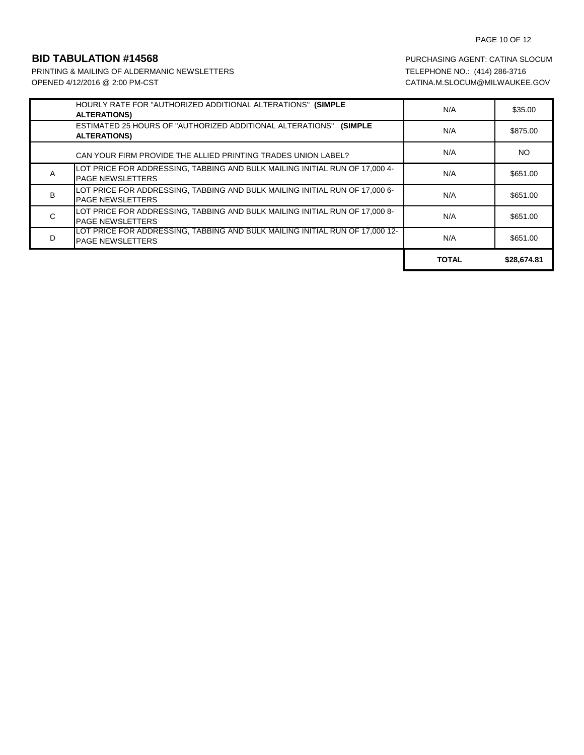# PAGE 10 OF 12

PRINTING & MAILING OF ALDERMANIC NEWSLETTERS TELEPHONE NO.: (414) 286-3716 OPENED 4/12/2016 @ 2:00 PM-CST CATINA.M.SLOCUM@MILWAUKEE.GOV

|   | HOURLY RATE FOR "AUTHORIZED ADDITIONAL ALTERATIONS" (SIMPLE<br><b>ALTERATIONS)</b>                         | N/A          | \$35.00     |
|---|------------------------------------------------------------------------------------------------------------|--------------|-------------|
|   | <b>ESTIMATED 25 HOURS OF "AUTHORIZED ADDITIONAL ALTERATIONS"</b><br><b>(SIMPLE)</b><br><b>ALTERATIONS)</b> | N/A          | \$875.00    |
|   | CAN YOUR FIRM PROVIDE THE ALLIED PRINTING TRADES UNION LABEL?                                              | N/A          | NO.         |
| A | LOT PRICE FOR ADDRESSING, TABBING AND BULK MAILING INITIAL RUN OF 17,000 4-<br><b>PAGE NEWSLETTERS</b>     | N/A          | \$651.00    |
| B | LOT PRICE FOR ADDRESSING, TABBING AND BULK MAILING INITIAL RUN OF 17,000 6-<br><b>PAGE NEWSLETTERS</b>     | N/A          | \$651.00    |
| C | LOT PRICE FOR ADDRESSING, TABBING AND BULK MAILING INITIAL RUN OF 17,000 8-<br><b>PAGE NEWSLETTERS</b>     | N/A          | \$651.00    |
| D | LOT PRICE FOR ADDRESSING, TABBING AND BULK MAILING INITIAL RUN OF 17,000 12-<br><b>PAGE NEWSLETTERS</b>    | N/A          | \$651.00    |
|   |                                                                                                            | <b>TOTAL</b> | \$28,674.81 |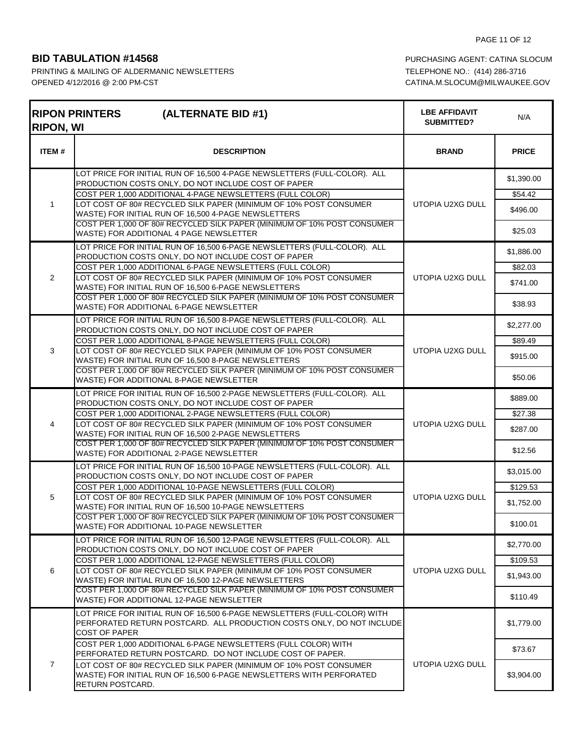| <b>RIPON, WI</b> | <b>RIPON PRINTERS</b><br>(ALTERNATE BID #1)                                                                                                                                                          | <b>LBE AFFIDAVIT</b><br>SUBMITTED? | N/A                    |
|------------------|------------------------------------------------------------------------------------------------------------------------------------------------------------------------------------------------------|------------------------------------|------------------------|
| ITEM#            | <b>DESCRIPTION</b>                                                                                                                                                                                   | <b>BRAND</b>                       | <b>PRICE</b>           |
|                  | LOT PRICE FOR INITIAL RUN OF 16,500 4-PAGE NEWSLETTERS (FULL-COLOR). ALL<br>PRODUCTION COSTS ONLY, DO NOT INCLUDE COST OF PAPER                                                                      |                                    | \$1,390.00             |
| $\mathbf{1}$     | COST PER 1,000 ADDITIONAL 4-PAGE NEWSLETTERS (FULL COLOR)<br>LOT COST OF 80# RECYCLED SILK PAPER (MINIMUM OF 10% POST CONSUMER<br>WASTE) FOR INITIAL RUN OF 16,500 4-PAGE NEWSLETTERS                | UTOPIA U2XG DULL                   | \$54.42<br>\$496.00    |
|                  | COST PER 1,000 OF 80# RECYCLED SILK PAPER (MINIMUM OF 10% POST CONSUMER<br>WASTE) FOR ADDITIONAL 4 PAGE NEWSLETTER                                                                                   |                                    | \$25.03                |
|                  | LOT PRICE FOR INITIAL RUN OF 16,500 6-PAGE NEWSLETTERS (FULL-COLOR). ALL<br>PRODUCTION COSTS ONLY, DO NOT INCLUDE COST OF PAPER                                                                      |                                    | \$1,886.00             |
| $\overline{2}$   | COST PER 1,000 ADDITIONAL 6-PAGE NEWSLETTERS (FULL COLOR)<br>LOT COST OF 80# RECYCLED SILK PAPER (MINIMUM OF 10% POST CONSUMER<br>WASTE) FOR INITIAL RUN OF 16,500 6-PAGE NEWSLETTERS                | UTOPIA U2XG DULL                   | \$82.03<br>\$741.00    |
|                  | COST PER 1,000 OF 80# RECYCLED SILK PAPER (MINIMUM OF 10% POST CONSUMER<br>WASTE) FOR ADDITIONAL 6-PAGE NEWSLETTER                                                                                   |                                    | \$38.93                |
|                  | LOT PRICE FOR INITIAL RUN OF 16,500 8-PAGE NEWSLETTERS (FULL-COLOR). ALL<br>PRODUCTION COSTS ONLY, DO NOT INCLUDE COST OF PAPER                                                                      |                                    | \$2,277.00             |
| 3                | COST PER 1,000 ADDITIONAL 8-PAGE NEWSLETTERS (FULL COLOR)<br>LOT COST OF 80# RECYCLED SILK PAPER (MINIMUM OF 10% POST CONSUMER<br>WASTE) FOR INITIAL RUN OF 16,500 8-PAGE NEWSLETTERS                | UTOPIA U2XG DULL                   | \$89.49<br>\$915.00    |
|                  | COST PER 1,000 OF 80# RECYCLED SILK PAPER (MINIMUM OF 10% POST CONSUMER<br>WASTE) FOR ADDITIONAL 8-PAGE NEWSLETTER                                                                                   |                                    | \$50.06                |
|                  | LOT PRICE FOR INITIAL RUN OF 16,500 2-PAGE NEWSLETTERS (FULL-COLOR). ALL<br>PRODUCTION COSTS ONLY, DO NOT INCLUDE COST OF PAPER                                                                      |                                    | \$889.00               |
| 4                | COST PER 1,000 ADDITIONAL 2-PAGE NEWSLETTERS (FULL COLOR)<br>LOT COST OF 80# RECYCLED SILK PAPER (MINIMUM OF 10% POST CONSUMER<br>WASTE) FOR INITIAL RUN OF 16,500 2-PAGE NEWSLETTERS                | UTOPIA U2XG DULL                   | \$27.38<br>\$287.00    |
|                  | COST PER 1,000 OF 80# RECYCLED SILK PAPER (MINIMUM OF 10% POST CONSUMER<br>WASTE) FOR ADDITIONAL 2-PAGE NEWSLETTER                                                                                   |                                    | \$12.56                |
|                  | LOT PRICE FOR INITIAL RUN OF 16,500 10-PAGE NEWSLETTERS (FULL-COLOR). ALL<br>PRODUCTION COSTS ONLY, DO NOT INCLUDE COST OF PAPER                                                                     |                                    | \$3,015.00             |
| 5                | COST PER 1,000 ADDITIONAL 10-PAGE NEWSLETTERS (FULL COLOR)<br>LOT COST OF 80# RECYCLED SILK PAPER (MINIMUM OF 10% POST CONSUMER                                                                      | UTOPIA U2XG DULL                   | \$129.53<br>\$1,752.00 |
|                  | WASTE) FOR INITIAL RUN OF 16,500 10-PAGE NEWSLETTERS<br>COST PER 1,000 OF 80# RECYCLED SILK PAPER (MINIMUM OF 10% POST CONSUMER<br>WASTE) FOR ADDITIONAL 10-PAGE NEWSLETTER                          |                                    | \$100.01               |
|                  | LOT PRICE FOR INITIAL RUN OF 16,500 12-PAGE NEWSLETTERS (FULL-COLOR). ALL<br>PRODUCTION COSTS ONLY, DO NOT INCLUDE COST OF PAPER                                                                     |                                    | \$2,770.00             |
|                  | COST PER 1,000 ADDITIONAL 12-PAGE NEWSLETTERS (FULL COLOR)                                                                                                                                           |                                    | \$109.53               |
| 6                | LOT COST OF 80# RECYCLED SILK PAPER (MINIMUM OF 10% POST CONSUMER<br>WASTE) FOR INITIAL RUN OF 16,500 12-PAGE NEWSLETTERS<br>COST PER 1,000 OF 80# RECYCLED SILK PAPER (MINIMUM OF 10% POST CONSUMER | UTOPIA U2XG DULL                   | \$1,943.00             |
|                  | WASTE) FOR ADDITIONAL 12-PAGE NEWSLETTER                                                                                                                                                             |                                    | \$110.49               |
|                  | LOT PRICE FOR INITIAL RUN OF 16,500 6-PAGE NEWSLETTERS (FULL-COLOR) WITH<br>PERFORATED RETURN POSTCARD. ALL PRODUCTION COSTS ONLY, DO NOT INCLUDE<br><b>COST OF PAPER</b>                            |                                    | \$1,779.00             |
|                  | COST PER 1,000 ADDITIONAL 6-PAGE NEWSLETTERS (FULL COLOR) WITH<br>PERFORATED RETURN POSTCARD. DO NOT INCLUDE COST OF PAPER.                                                                          |                                    | \$73.67                |
| $\overline{7}$   | LOT COST OF 80# RECYCLED SILK PAPER (MINIMUM OF 10% POST CONSUMER<br>WASTE) FOR INITIAL RUN OF 16,500 6-PAGE NEWSLETTERS WITH PERFORATED<br>RETURN POSTCARD.                                         | UTOPIA U2XG DULL                   | \$3,904.00             |